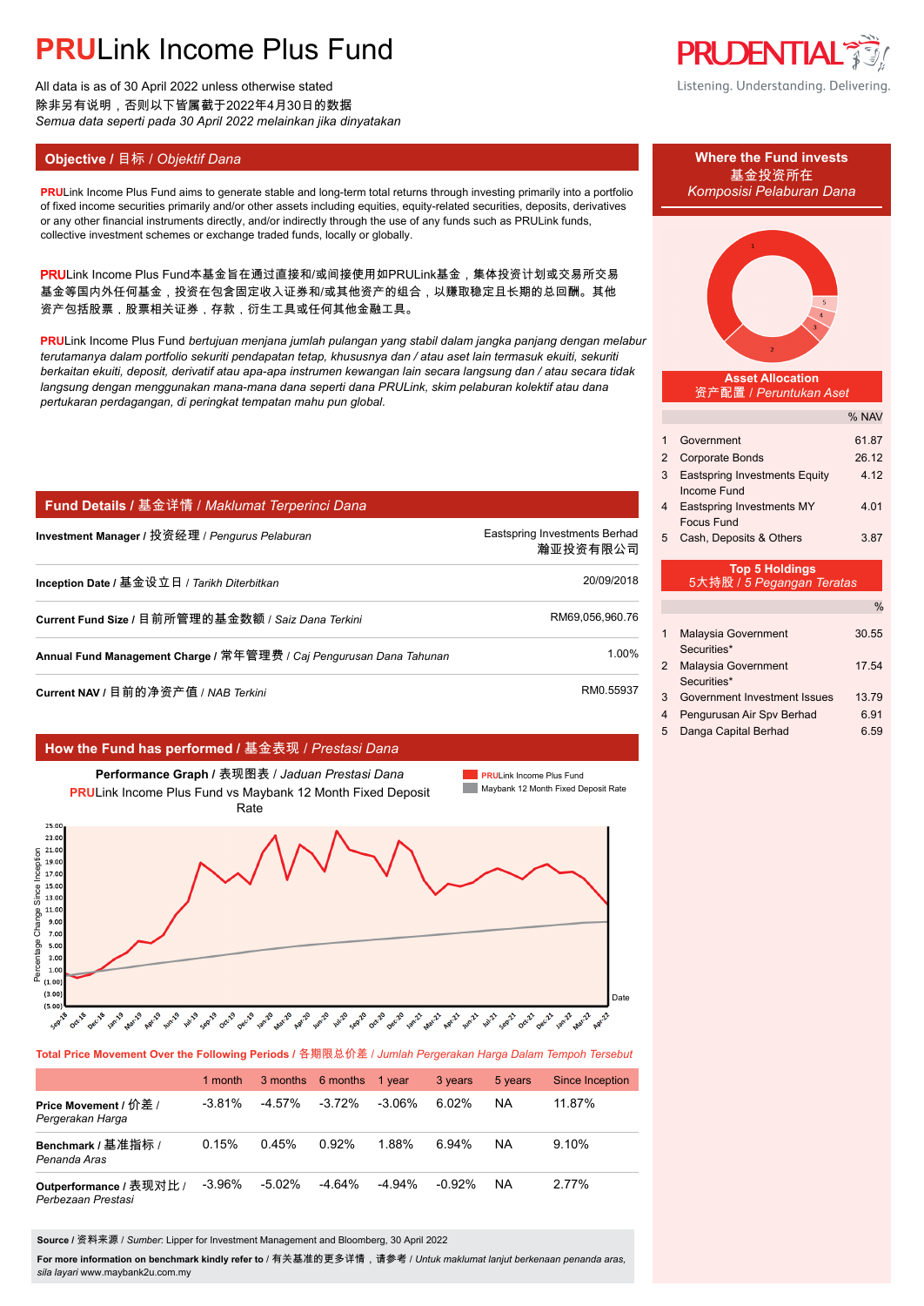All data is as of 30 April 2022 unless otherwise stated 除非另有说明,否则以下皆属截于2022年4月30日的数据 *Semua data seperti pada 30 April 2022 melainkan jika dinyatakan*

## **Objective / 目标 /** *Objektif Dana* **<b>Where the Fund invests Where the Fund invests**

**PRULink Income Plus Fund aims to generate stable and long-term total returns through investing primarily into a portfolio** of fixed income securities primarily and/or other assets including equities, equity-related securities, deposits, derivatives or any other financial instruments directly, and/or indirectly through the use of any funds such as PRULink funds, collective investment schemes or exchange traded funds, locally or globally.

PRULink Income Plus Fund本基金旨在通过直接和/或间接使用如PRULink基金,集体投资计划或交易所交易 基金等国内外任何基金,投资在包含固定收入证券和/或其他资产的组合,以赚取稳定且长期的总回酬。其他 资产包括股票,股票相关证券,存款,衍生工具或任何其他金融工具。

**PRU**Link Income Plus Fund *bertujuan menjana jumlah pulangan yang stabil dalam jangka panjang dengan melabur terutamanya dalam portfolio sekuriti pendapatan tetap, khususnya dan / atau aset lain termasuk ekuiti, sekuriti berkaitan ekuiti, deposit, derivatif atau apa-apa instrumen kewangan lain secara langsung dan / atau secara tidak langsung dengan menggunakan mana-mana dana seperti dana PRULink, skim pelaburan kolektif atau dana pertukaran perdagangan, di peringkat tempatan mahu pun global.*

### **Fund Details /** 基金详情 / *Maklumat Terperinci Dana*

| Investment Manager / 投资经理 / <i>Penqurus Pelaburan</i>               | Eastspring Investments Berhad<br>瀚亚投资有限公司 |
|---------------------------------------------------------------------|-------------------------------------------|
| Inception Date / 基金设立日 / Tarikh Diterbitkan                         | 20/09/2018                                |
| Current Fund Size / 目前所管理的基金数额 / Saiz Dana Terkini                  | RM69,056,960.76                           |
| Annual Fund Management Charge / 常年管理费 / Caj Pengurusan Dana Tahunan | 1.00%                                     |
| Current NAV / 目前的净资产值 / NAB <i>Terkini</i>                          | RM0.55937                                 |

### **How the Fund has performed /** 基金表现 / *Prestasi Dana*



**Total Price Movement Over the Following Periods /** 各期限总价差 / *Jumlah Pergerakan Harga Dalam Tempoh Tersebut*

|                                               | 1 month   |           | 3 months 6 months 1 year |           | 3 years   | 5 years | Since Inception |
|-----------------------------------------------|-----------|-----------|--------------------------|-----------|-----------|---------|-----------------|
| Price Movement / 价差 /<br>Pergerakan Harga     | $-3.81\%$ | -4.57%    | $-3.72\%$                | -3.06%    | 6.02%     | NA      | 11.87%          |
| Benchmark / 基准指标 /<br>Penanda Aras            | 0.15%     | 0.45%     | 0.92%                    | 1.88%     | 6.94%     | NA      | 9.10%           |
| Outperformance / 表现对比 /<br>Perbezaan Prestasi | $-3.96\%$ | $-5.02\%$ | -4.64%                   | $-4.94\%$ | $-0.92\%$ | NA      | 2.77%           |

**Source /** 资料来源 / *Sumber*: Lipper for Investment Management and Bloomberg, 30 April 2022

**For more information on benchmark kindly refer to** / 有关基准的更多详情,请参考 / *Untuk maklumat lanjut berkenaan penanda aras, sila layari* www.maybank2u.com.my



Listening. Understanding. Delivering.

# 基金投资所在



**Asset Allocation** 资产配置 / *Peruntukan Aset*

|                           |                                                     | % NAV |  |  |
|---------------------------|-----------------------------------------------------|-------|--|--|
| 1                         | Government                                          | 61.87 |  |  |
| 2                         | <b>Corporate Bonds</b>                              | 26.12 |  |  |
| 3                         | <b>Eastspring Investments Equity</b><br>Income Fund | 4 1 2 |  |  |
| 4                         | Eastspring Investments MY<br>Focus Fund             | 4.01  |  |  |
| 5                         | Cash, Deposits & Others                             | 3.87  |  |  |
| <b>Top 5 Holdings</b>     |                                                     |       |  |  |
| 5大持股 / 5 Pegangan Teratas |                                                     |       |  |  |
|                           |                                                     |       |  |  |

|   | Malaysia Government                         | 30.55 |
|---|---------------------------------------------|-------|
|   | Securities*                                 |       |
| 2 | Malaysia Government                         | 17.54 |
| 3 | Securities*<br>Government Investment Issues | 1379  |
| 4 | Pengurusan Air Spv Berhad                   | 6.91  |
| 5 | Danga Capital Berhad                        | ճ 59  |
|   |                                             |       |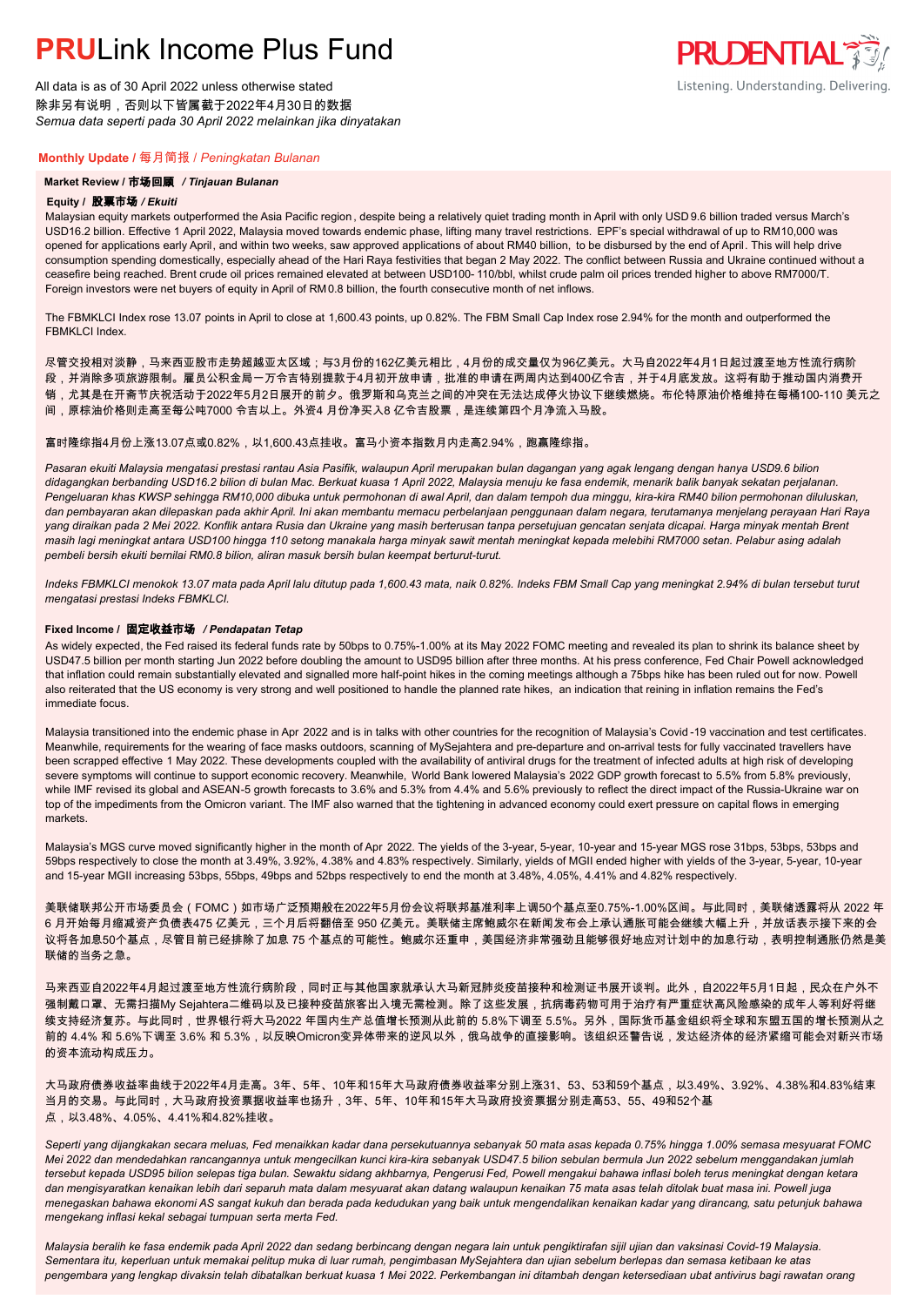All data is as of 30 April 2022 unless otherwise stated 除非另有说明,否则以下皆属截于2022年4月30日的数据 *Semua data seperti pada 30 April 2022 melainkan jika dinyatakan*

#### **Monthly Update /** 每月简报 / *Peningkatan Bulanan*

#### **Market Review /** 市场回顾 */ Tinjauan Bulanan*

#### **Equity /** 股票市场 */ Ekuiti.*

Malaysian equity markets outperformed the Asia Pacific region , despite being a relatively quiet trading month in April with only USD 9.6 billion traded versus March's USD16.2 billion. Effective 1 April 2022, Malaysia moved towards endemic phase, lifting many travel restrictions. EPF's special withdrawal of up to RM10,000 was opened for applications early April, and within two weeks, saw approved applications of about RM40 billion, to be disbursed by the end of April. This will help drive consumption spending domestically, especially ahead of the Hari Raya festivities that began 2 May 2022. The conflict between Russia and Ukraine continued without a ceasefire being reached. Brent crude oil prices remained elevated at between USD100- 110/bbl, whilst crude palm oil prices trended higher to above RM7000/T. Foreign investors were net buyers of equity in April of RM0.8 billion, the fourth consecutive month of net inflows.

**PRUDENTIAL 35** 

Listening. Understanding. Delivering.

The FBMKLCI Index rose 13.07 points in April to close at 1,600.43 points, up 0.82%. The FBM Small Cap Index rose 2.94% for the month and outperformed the FBMKLCI Index.

尽管交投相对淡静,马来西亚股市走势超越亚太区域;与3月份的162亿美元相比,4月份的成交量仅为96亿美元。大马自2022年4月1日起过渡至地方性流行病阶

段,并消除多项旅游限制。雇员公积金局一万令吉特别提款于4月初开放申请,批准的申请在两周内达到400亿令吉,并于4月底发放。这将有助于推动国内消费开

销,尤其是在开斋节庆祝活动于2022年5月2日展开的前夕。俄罗斯和乌克兰之间的冲突在无法达成停火协议下继续燃烧。布伦特原油价格维持在每桶100-110 美元之

间,原棕油价格则走高至每公吨7000 令吉以上。外资4 月份净买入8 亿令吉股票,是连续第四个月净流入马股。

#### 富时隆综指4月份上涨13.07点或0.82%,以1,600.43点挂收。富马小资本指数月内走高2.94%,跑赢隆综指。

*Pasaran ekuiti Malaysia mengatasi prestasi rantau Asia Pasifik, walaupun April merupakan bulan dagangan yang agak lengang dengan hanya USD9.6 bilion didagangkan berbanding USD16.2 bilion di bulan Mac. Berkuat kuasa 1 April 2022, Malaysia menuju ke fasa endemik, menarik balik banyak sekatan perjalanan.*  Pengeluaran khas KWSP sehingga RM10,000 dibuka untuk permohonan di awal April, dan dalam tempoh dua minggu, kira-kira RM40 bilion permohonan diluluskan *dan pembayaran akan dilepaskan pada akhir April. Ini akan membantu memacu perbelanjaan penggunaan dalam negara, terutamanya menjelang perayaan Hari Raya yang diraikan pada 2 Mei 2022. Konflik antara Rusia dan Ukraine yang masih berterusan tanpa persetujuan gencatan senjata dicapai. Harga minyak mentah Brent masih lagi meningkat antara USD100 hingga 110 setong manakala harga minyak sawit mentah meningkat kepada melebihi RM7000 setan. Pelabur asing adalah pembeli bersih ekuiti bernilai RM0.8 bilion, aliran masuk bersih bulan keempat berturut-turut.*

*Indeks FBMKLCI menokok 13.07 mata pada April lalu ditutup pada 1,600.43 mata, naik 0.82%. Indeks FBM Small Cap yang meningkat 2.94% di bulan tersebut turut mengatasi prestasi Indeks FBMKLCI.*

#### **Fixed Income /** 固定收益市场 */ Pendapatan Tetap*

*.* As widely expected, the Fed raised its federal funds rate by 50bps to 0.75%-1.00% at its May 2022 FOMC meeting and revealed its plan to shrink its balance sheet by USD47.5 billion per month starting Jun 2022 before doubling the amount to USD95 billion after three months. At his press conference, Fed Chair Powell acknowledged that inflation could remain substantially elevated and signalled more half-point hikes in the coming meetings although a 75bps hike has been ruled out for now. Powell also reiterated that the US economy is very strong and well positioned to handle the planned rate hikes, an indication that reining in inflation remains the Fed's immediate focus.

Malaysia transitioned into the endemic phase in Apr 2022 and is in talks with other countries for the recognition of Malaysia's Covid-19 vaccination and test certificates. Meanwhile, requirements for the wearing of face masks outdoors, scanning of MySejahtera and pre-departure and on-arrival tests for fully vaccinated travellers have been scrapped effective 1 May 2022. These developments coupled with the availability of antiviral drugs for the treatment of infected adults at high risk of developing severe symptoms will continue to support economic recovery. Meanwhile, World Bank lowered Malaysia's 2022 GDP growth forecast to 5.5% from 5.8% previously, while IMF revised its global and ASEAN-5 growth forecasts to 3.6% and 5.3% from 4.4% and 5.6% previously to reflect the direct impact of the Russia-Ukraine war on top of the impediments from the Omicron variant. The IMF also warned that the tightening in advanced economy could exert pressure on capital flows in emerging markets.

Malaysia's MGS curve moved significantly higher in the month of Apr 2022. The yields of the 3-year, 5-year, 10-year and 15-year MGS rose 31bps, 53bps, 53bps and 59bps respectively to close the month at 3.49%, 3.92%, 4.38% and 4.83% respectively. Similarly, yields of MGII ended higher with yields of the 3-year, 5-year, 10-year and 15-year MGII increasing 53bps, 55bps, 49bps and 52bps respectively to end the month at 3.48%, 4.05%, 4.41% and 4.82% respectively.

美联储联邦公开市场委员会(FOMC)如市场广泛预期般在2022年5月份会议将联邦基准利率上调50个基点至0.75%-1.00%区间。与此同时,美联储透露将从 2022 年 6 月开始每月缩减资产负债表475 亿美元,三个月后将翻倍至 950 亿美元。美联储主席鲍威尔在新闻发布会上承认通胀可能会继续大幅上升,并放话表示接下来的会 议将各加息50个基点,尽管目前已经排除了加息 75 个基点的可能性。鲍威尔还重申,美国经济非常强劲且能够很好地应对计划中的加息行动,表明控制通胀仍然是美 联储的当务之急。

马来西亚自2022年4月起过渡至地方性流行病阶段,同时正与其他国家就承认大马新冠肺炎疫苗接种和检测证书展开谈判。此外,自2022年5月1日起,民众在户外不 强制戴口罩、无需扫描My Sejahtera二维码以及已接种疫苗旅客出入境无需检测。除了这些发展,抗病毒药物可用于治疗有严重症状高风险感染的成年人等利好将继 续支持经济复苏。与此同时,世界银行将大马2022 年国内生产总值增长预测从此前的 5.8%下调至 5.5%。另外,国际货币基金组织将全球和东盟五国的增长预测从之 前的 4.4% 和 5.6%下调至 3.6% 和 5.3%,以反映Omicron变异体带来的逆风以外,俄乌战争的直接影响。该组织还警告说,发达经济体的经济紧缩可能会对新兴市场 的资本流动构成压力。

大马政府债券收益率曲线于2022年4月走高。3年、5年、10年和15年大马政府债券收益率分别上涨31、53、53和59个基点,以3.49%、3.92%、4.38%和4.83%结束 当月的交易。与此同时,大马政府投资票据收益率也扬升,3年、5年、10年和15年大马政府投资票据分别走高53、55、49和52个基 点,以3.48%、4.05%、4.41%和4.82%挂收。

*Seperti yang dijangkakan secara meluas, Fed menaikkan kadar dana persekutuannya sebanyak 50 mata asas kepada 0.75% hingga 1.00% semasa mesyuarat FOMC Mei 2022 dan mendedahkan rancangannya untuk mengecilkan kunci kira-kira sebanyak USD47.5 bilion sebulan bermula Jun 2022 sebelum menggandakan jumlah tersebut kepada USD95 bilion selepas tiga bulan. Sewaktu sidang akhbarnya, Pengerusi Fed, Powell mengakui bahawa inflasi boleh terus meningkat dengan ketara dan mengisyaratkan kenaikan lebih dari separuh mata dalam mesyuarat akan datang walaupun kenaikan 75 mata asas telah ditolak buat masa ini. Powell juga menegaskan bahawa ekonomi AS sangat kukuh dan berada pada kedudukan yang baik untuk mengendalikan kenaikan kadar yang dirancang, satu petunjuk bahawa mengekang inflasi kekal sebagai tumpuan serta merta Fed.*

*Malaysia beralih ke fasa endemik pada April 2022 dan sedang berbincang dengan negara lain untuk pengiktirafan sijil ujian dan vaksinasi Covid-19 Malaysia. Sementara itu, keperluan untuk memakai pelitup muka di luar rumah, pengimbasan MySejahtera dan ujian sebelum berlepas dan semasa ketibaan ke atas pengembara yang lengkap divaksin telah dibatalkan berkuat kuasa 1 Mei 2022. Perkembangan ini ditambah dengan ketersediaan ubat antivirus bagi rawatan orang*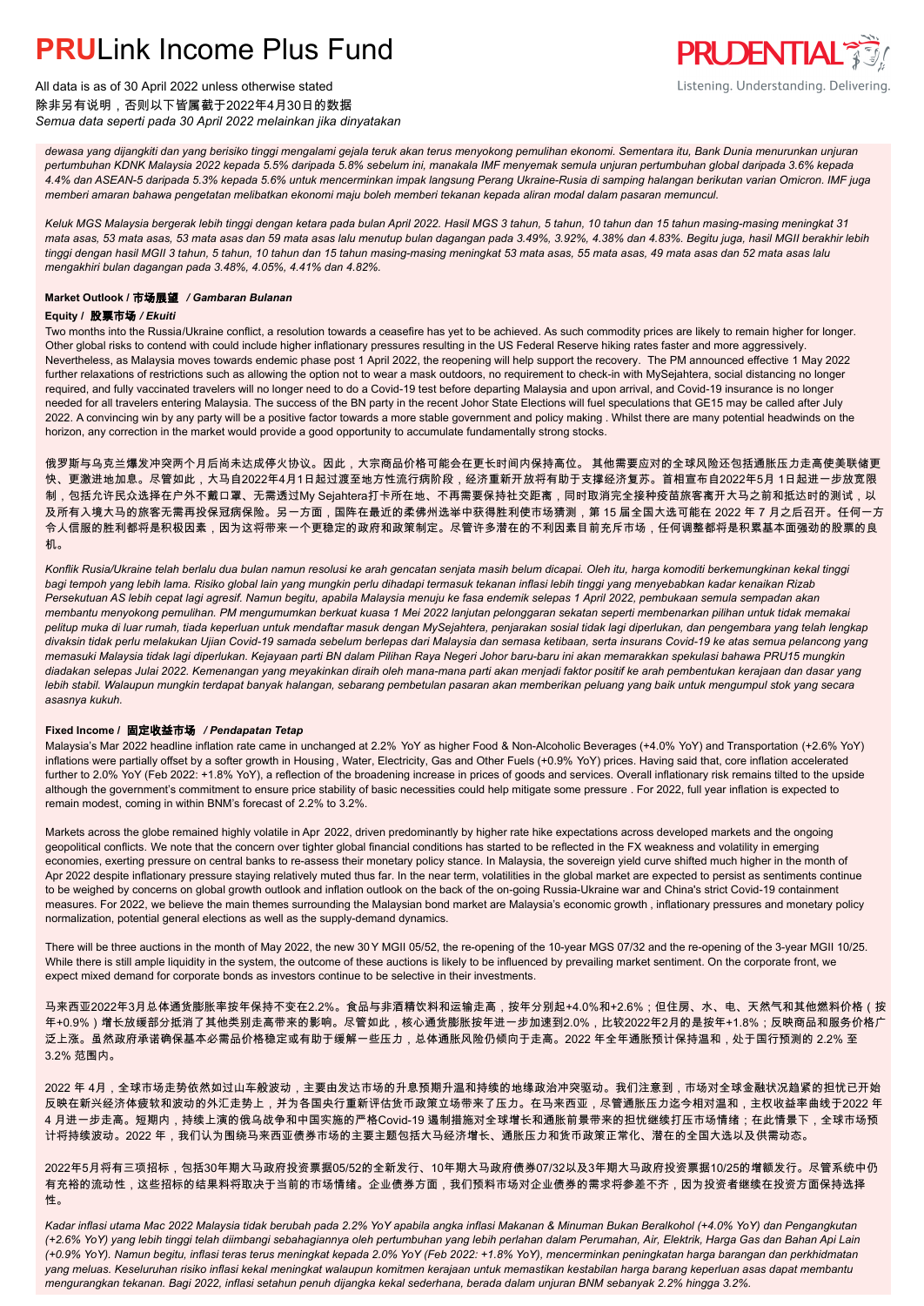

All data is as of 30 April 2022 unless otherwise stated 除非另有说明,否则以下皆属截于2022年4月30日的数据 *Semua data seperti pada 30 April 2022 melainkan jika dinyatakan*

*dewasa yang dijangkiti dan yang berisiko tinggi mengalami gejala teruk akan terus menyokong pemulihan ekonomi. Sementara itu, Bank Dunia menurunkan unjuran pertumbuhan KDNK Malaysia 2022 kepada 5.5% daripada 5.8% sebelum ini, manakala IMF menyemak semula unjuran pertumbuhan global daripada 3.6% kepada 4.4% dan ASEAN-5 daripada 5.3% kepada 5.6% untuk mencerminkan impak langsung Perang Ukraine-Rusia di samping halangan berikutan varian Omicron. IMF juga memberi amaran bahawa pengetatan melibatkan ekonomi maju boleh memberi tekanan kepada aliran modal dalam pasaran memuncul.*

*Keluk MGS Malaysia bergerak lebih tinggi dengan ketara pada bulan April 2022. Hasil MGS 3 tahun, 5 tahun, 10 tahun dan 15 tahun masing-masing meningkat 31 mata asas, 53 mata asas, 53 mata asas dan 59 mata asas lalu menutup bulan dagangan pada 3.49%, 3.92%, 4.38% dan 4.83%. Begitu juga, hasil MGII berakhir lebih tinggi dengan hasil MGII 3 tahun, 5 tahun, 10 tahun dan 15 tahun masing-masing meningkat 53 mata asas, 55 mata asas, 49 mata asas dan 52 mata asas lalu mengakhiri bulan dagangan pada 3.48%, 4.05%, 4.41% dan 4.82%.*

### **Market Outlook /** 市场展望 */ Gambaran Bulanan*

### **Equity /** 股票市场 */ Ekuiti .*

Two months into the Russia/Ukraine conflict, a resolution towards a ceasefire has yet to be achieved. As such commodity prices are likely to remain higher for longer. Other global risks to contend with could include higher inflationary pressures resulting in the US Federal Reserve hiking rates faster and more aggressively. Nevertheless, as Malaysia moves towards endemic phase post 1 April 2022, the reopening will help support the recovery. The PM announced effective 1 May 2022 further relaxations of restrictions such as allowing the option not to wear a mask outdoors, no requirement to check-in with MySejahtera, social distancing no longer required, and fully vaccinated travelers will no longer need to do a Covid-19 test before departing Malaysia and upon arrival, and Covid-19 insurance is no longer needed for all travelers entering Malaysia. The success of the BN party in the recent Johor State Elections will fuel speculations that GE15 may be called after July 2022. A convincing win by any party will be a positive factor towards a more stable government and policy making . Whilst there are many potential headwinds on the horizon, any correction in the market would provide a good opportunity to accumulate fundamentally strong stocks.

俄罗斯与乌克兰爆发冲突两个月后尚未达成停火协议。因此,大宗商品价格可能会在更长时间内保持高位。 其他需要应对的全球风险还包括通胀压力走高使美联储更 快、更激进地加息。尽管如此,大马自2022年4月1日起过渡至地方性流行病阶段,经济重新开放将有助于支撑经济复苏。首相宣布自2022年5月 1日起进一步放宽限 制,包括允许民众选择在户外不戴口罩、无需透过My Sejahtera打卡所在地、不再需要保持社交距离,同时取消完全接种疫苗旅客离开大马之前和抵达时的测试,以 及所有入境大马的旅客无需再投保冠病保险。另一方面,国阵在最近的柔佛州选举中获得胜利使市场猜测,第 15 届全国大选可能在 2022 年 7 月之后召开。任何一方 令人信服的胜利都将是积极因素,因为这将带来一个更稳定的政府和政策制定。尽管许多潜在的不利因素目前充斥市场,任何调整都将是积累基本面强劲的股票的良 机。

*Konflik Rusia/Ukraine telah berlalu dua bulan namun resolusi ke arah gencatan senjata masih belum dicapai. Oleh itu, harga komoditi berkemungkinan kekal tinggi bagi tempoh yang lebih lama. Risiko global lain yang mungkin perlu dihadapi termasuk tekanan inflasi lebih tinggi yang menyebabkan kadar kenaikan Rizab Persekutuan AS lebih cepat lagi agresif. Namun begitu, apabila Malaysia menuju ke fasa endemik selepas 1 April 2022, pembukaan semula sempadan akan membantu menyokong pemulihan. PM mengumumkan berkuat kuasa 1 Mei 2022 lanjutan pelonggaran sekatan seperti membenarkan pilihan untuk tidak memakai pelitup muka di luar rumah, tiada keperluan untuk mendaftar masuk dengan MySejahtera, penjarakan sosial tidak lagi diperlukan, dan pengembara yang telah lengkap divaksin tidak perlu melakukan Ujian Covid-19 samada sebelum berlepas dari Malaysia dan semasa ketibaan, serta insurans Covid-19 ke atas semua pelancong yang memasuki Malaysia tidak lagi diperlukan. Kejayaan parti BN dalam Pilihan Raya Negeri Johor baru-baru ini akan memarakkan spekulasi bahawa PRU15 mungkin diadakan selepas Julai 2022. Kemenangan yang meyakinkan diraih oleh mana-mana parti akan menjadi faktor positif ke arah pembentukan kerajaan dan dasar yang lebih stabil. Walaupun mungkin terdapat banyak halangan, sebarang pembetulan pasaran akan memberikan peluang yang baik untuk mengumpul stok yang secara asasnya kukuh.*

### **Fixed Income /** 固定收益市场 */ Pendapatan Tetap*

*.* Malaysia's Mar 2022 headline inflation rate came in unchanged at 2.2% YoY as higher Food & Non-Alcoholic Beverages (+4.0% YoY) and Transportation (+2.6% YoY) inflations were partially offset by a softer growth in Housing, Water, Electricity, Gas and Other Fuels (+0.9% YoY) prices. Having said that, core inflation accelerated further to 2.0% YoY (Feb 2022: +1.8% YoY), a reflection of the broadening increase in prices of goods and services. Overall inflationary risk remains tilted to the upside although the government's commitment to ensure price stability of basic necessities could help mitigate some pressure . For 2022, full year inflation is expected to remain modest, coming in within BNM's forecast of 2.2% to 3.2%.

Markets across the globe remained highly volatile in Apr 2022, driven predominantly by higher rate hike expectations across developed markets and the ongoing geopolitical conflicts. We note that the concern over tighter global financial conditions has started to be reflected in the FX weakness and volatility in emerging economies, exerting pressure on central banks to re-assess their monetary policy stance. In Malaysia, the sovereign yield curve shifted much higher in the month of Apr 2022 despite inflationary pressure staying relatively muted thus far. In the near term, volatilities in the global market are expected to persist as sentiments continue to be weighed by concerns on global growth outlook and inflation outlook on the back of the on-going Russia-Ukraine war and China's strict Covid-19 containment measures. For 2022, we believe the main themes surrounding the Malaysian bond market are Malaysia's economic growth , inflationary pressures and monetary policy normalization, potential general elections as well as the supply-demand dynamics.

There will be three auctions in the month of May 2022, the new 30 Y MGII 05/52, the re-opening of the 10-year MGS 07/32 and the re-opening of the 3-year MGII 10/25. While there is still ample liquidity in the system, the outcome of these auctions is likely to be influenced by prevailing market sentiment. On the corporate front, we expect mixed demand for corporate bonds as investors continue to be selective in their investments.

马来西亚2022年3月总体通货膨胀率按年保持不变在2.2%。食品与非酒精饮料和运输走高,按年分别起+4.0%和+2.6%;但住房、水、电、天然气和其他燃料价格(按 年+0.9%)增长放缓部分抵消了其他类别走高带来的影响。尽管如此,核心通货膨胀按年进一步加速到2.0%,比较2022年2月的是按年+1.8%;反映商品和服务价格广 泛上涨。虽然政府承诺确保基本必需品价格稳定或有助于缓解一些压力,总体通胀风险仍倾向于走高。2022 年全年通胀预计保持温和,处于国行预测的 2.2% 至 3.2% 范围内。

2022 年 4月,全球市场走势依然如过山车般波动,主要由发达市场的升息预期升温和持续的地缘政治冲突驱动。我们注意到,市场对全球金融状况趋紧的担忧已开始 反映在新兴经济体疲软和波动的外汇走势上,并为各国央行重新评估货币政策立场带来了压力。在马来西亚,尽管通胀压力迄今相对温和,主权收益率曲线于2022 年 4 月进一步走高。短期内,持续上演的俄乌战争和中国实施的严格Covid-19 遏制措施对全球增长和通胀前景带来的担忧继续打压市场情绪;在此情景下,全球市场预 计将持续波动。2022 年,我们认为围绕马来西亚债券市场的主要主题包括大马经济增长、通胀压力和货币政策正常化、潜在的全国大选以及供需动态。

2022年5月将有三项招标,包括30年期大马政府投资票据05/52的全新发行、10年期大马政府债券07/32以及3年期大马政府投资票据10/25的增额发行。尽管系统中仍 有充裕的流动性,这些招标的结果料将取决于当前的市场情绪。企业债券方面,我们预料市场对企业债券的需求将参差不齐,因为投资者继续在投资方面保持选择 性。

*Kadar inflasi utama Mac 2022 Malaysia tidak berubah pada 2.2% YoY apabila angka inflasi Makanan & Minuman Bukan Beralkohol (+4.0% YoY) dan Pengangkutan (+2.6% YoY) yang lebih tinggi telah diimbangi sebahagiannya oleh pertumbuhan yang lebih perlahan dalam Perumahan, Air, Elektrik, Harga Gas dan Bahan Api Lain (+0.9% YoY). Namun begitu, inflasi teras terus meningkat kepada 2.0% YoY (Feb 2022: +1.8% YoY), mencerminkan peningkatan harga barangan dan perkhidmatan yang meluas. Keseluruhan risiko inflasi kekal meningkat walaupun komitmen kerajaan untuk memastikan kestabilan harga barang keperluan asas dapat membantu mengurangkan tekanan. Bagi 2022, inflasi setahun penuh dijangka kekal sederhana, berada dalam unjuran BNM sebanyak 2.2% hingga 3.2%.*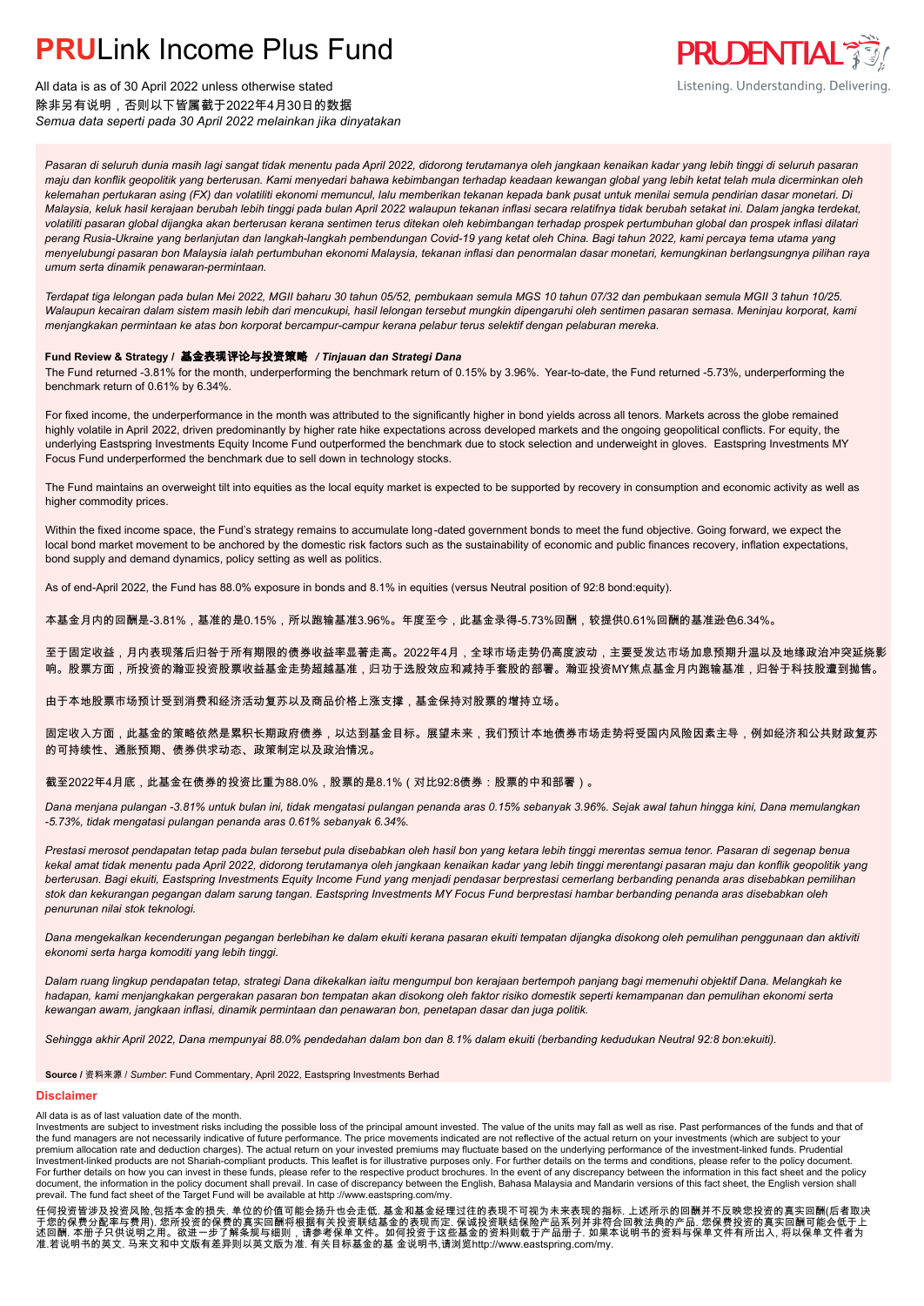

All data is as of 30 April 2022 unless otherwise stated 除非另有说明,否则以下皆属截于2022年4月30日的数据 *Semua data seperti pada 30 April 2022 melainkan jika dinyatakan*

*Pasaran di seluruh dunia masih lagi sangat tidak menentu pada April 2022, didorong terutamanya oleh jangkaan kenaikan kadar yang lebih tinggi di seluruh pasaran maju dan konflik geopolitik yang berterusan. Kami menyedari bahawa kebimbangan terhadap keadaan kewangan global yang lebih ketat telah mula dicerminkan oleh kelemahan pertukaran asing (FX) dan volatiliti ekonomi memuncul, lalu memberikan tekanan kepada bank pusat untuk menilai semula pendirian dasar monetari. Di Malaysia, keluk hasil kerajaan berubah lebih tinggi pada bulan April 2022 walaupun tekanan inflasi secara relatifnya tidak berubah setakat ini. Dalam jangka terdekat, volatiliti pasaran global dijangka akan berterusan kerana sentimen terus ditekan oleh kebimbangan terhadap prospek pertumbuhan global dan prospek inflasi dilatari perang Rusia-Ukraine yang berlanjutan dan langkah-langkah pembendungan Covid-19 yang ketat oleh China. Bagi tahun 2022, kami percaya tema utama yang menyelubungi pasaran bon Malaysia ialah pertumbuhan ekonomi Malaysia, tekanan inflasi dan penormalan dasar monetari, kemungkinan berlangsungnya pilihan raya umum serta dinamik penawaran-permintaan.*

*Terdapat tiga lelongan pada bulan Mei 2022, MGII baharu 30 tahun 05/52, pembukaan semula MGS 10 tahun 07/32 dan pembukaan semula MGII 3 tahun 10/25. Walaupun kecairan dalam sistem masih lebih dari mencukupi, hasil lelongan tersebut mungkin dipengaruhi oleh sentimen pasaran semasa. Meninjau korporat, kami menjangkakan permintaan ke atas bon korporat bercampur-campur kerana pelabur terus selektif dengan pelaburan mereka.*

#### **Fund Review & Strategy /** 基金表现评论与投资策略 */ Tinjauan dan Strategi Dana*

The Fund returned -3.81% for the month, underperforming the benchmark return of 0.15% by 3.96%. Year-to-date, the Fund returned -5.73%, underperforming the *.* benchmark return of 0.61% by 6.34%.

For fixed income, the underperformance in the month was attributed to the significantly higher in bond yields across all tenors. Markets across the globe remained highly volatile in April 2022, driven predominantly by higher rate hike expectations across developed markets and the ongoing geopolitical conflicts. For equity, the underlying Eastspring Investments Equity Income Fund outperformed the benchmark due to stock selection and underweight in gloves. Eastspring Investments MY Focus Fund underperformed the benchmark due to sell down in technology stocks.

The Fund maintains an overweight tilt into equities as the local equity market is expected to be supported by recovery in consumption and economic activity as well as higher commodity prices.

Within the fixed income space, the Fund's strategy remains to accumulate long-dated government bonds to meet the fund objective. Going forward, we expect the local bond market movement to be anchored by the domestic risk factors such as the sustainability of economic and public finances recovery, inflation expectations, bond supply and demand dynamics, policy setting as well as politics.

As of end-April 2022, the Fund has 88.0% exposure in bonds and 8.1% in equities (versus Neutral position of 92:8 bond:equity).

本基金月内的回酬是-3.81%,基准的是0.15%,所以跑输基准3.96%。年度至今,此基金录得-5.73%回酬,较提供0.61%回酬的基准逊色6.34%。

至于固定收益,月内表现落后归咎于所有期限的债券收益率显著走高。2022年4月,全球市场走势仍高度波动,主要受发达市场加息预期升温以及地缘政治冲突延烧影 响。股票方面,所投资的瀚亚投资股票收益基金走势超越基准,归功于选股效应和减持手套股的部署。瀚亚投资MY焦点基金月内跑输基准,归咎于科技股遭到抛售。

由于本地股票市场预计受到消费和经济活动复苏以及商品价格上涨支撑,基金保持对股票的增持立场。

固定收入方面,此基金的策略依然是累积长期政府债券,以达到基金目标。展望未来,我们预计本地债券市场走势将受国内风险因素主导,例如经济和公共财政复苏 的可持续性、通胀预期、债券供求动态、政策制定以及政治情况。

截至2022年4月底,此基金在债券的投资比重为88.0%,股票的是8.1%(对比92:8债券:股票的中和部署)。

*Dana menjana pulangan -3.81% untuk bulan ini, tidak mengatasi pulangan penanda aras 0.15% sebanyak 3.96%. Sejak awal tahun hingga kini, Dana memulangkan -5.73%, tidak mengatasi pulangan penanda aras 0.61% sebanyak 6.34%.*

*Prestasi merosot pendapatan tetap pada bulan tersebut pula disebabkan oleh hasil bon yang ketara lebih tinggi merentas semua tenor. Pasaran di segenap benua kekal amat tidak menentu pada April 2022, didorong terutamanya oleh jangkaan kenaikan kadar yang lebih tinggi merentangi pasaran maju dan konflik geopolitik yang berterusan. Bagi ekuiti, Eastspring Investments Equity Income Fund yang menjadi pendasar berprestasi cemerlang berbanding penanda aras disebabkan pemilihan stok dan kekurangan pegangan dalam sarung tangan. Eastspring Investments MY Focus Fund berprestasi hambar berbanding penanda aras disebabkan oleh penurunan nilai stok teknologi.*

*Dana mengekalkan kecenderungan pegangan berlebihan ke dalam ekuiti kerana pasaran ekuiti tempatan dijangka disokong oleh pemulihan penggunaan dan aktiviti ekonomi serta harga komoditi yang lebih tinggi.*

*Dalam ruang lingkup pendapatan tetap, strategi Dana dikekalkan iaitu mengumpul bon kerajaan bertempoh panjang bagi memenuhi objektif Dana. Melangkah ke hadapan, kami menjangkakan pergerakan pasaran bon tempatan akan disokong oleh faktor risiko domestik seperti kemampanan dan pemulihan ekonomi serta kewangan awam, jangkaan inflasi, dinamik permintaan dan penawaran bon, penetapan dasar dan juga politik.*

*Sehingga akhir April 2022, Dana mempunyai 88.0% pendedahan dalam bon dan 8.1% dalam ekuiti (berbanding kedudukan Neutral 92:8 bon:ekuiti).*

**Source /** 资料来源 / *Sumber*: Fund Commentary, April 2022, Eastspring Investments Berhad

#### **Disclaimer**

#### All data is as of last valuation date of the month.

Investments are subject to investment risks including the possible loss of the principal amount invested. The value of the units may fall as well as rise. Past performances of the funds and that of the fund managers are not necessarily indicative of future performance. The price movements indicated are not reflective of the actual return on your investments (which are subject to your premium allocation rate and deduction charges). The actual return on your invested premiums may fluctuate based on the underlying performance of the investment-linked funds. Prudential Investment-linked products are not Shariah-compliant products. This leaflet is for illustrative purposes only. For further details on the terms and conditions, please refer to the policy document.<br>For further details on ho document, the information in the policy document shall prevail. In case of discrepancy between the English, Bahasa Malaysia and Mandarin versions of this fact sheet, the English version shall prevail. The fund fact sheet of the Target Fund will be available at http ://www.eastspring.com/my.

任何投资皆涉及投资风险,包括本金的损失. 单位的价值可能会扬升也会走低. 基金和基金经理过往的表现不可视为未来表现的指标. 上述所示的回酬并不反映您投资的真实回酬(后者取决<br>于您的保费分配率与费用). 您所投资的保费的真实回酬将根据有关投资联结基金的表现而定. 保诚投资联结保险产品系列并非符合回教法典的产品. 您保费投资的真实回酬可能会低于上<br>述回酬. 本册子只供说明之用。欲进一步了解条规与细则,请参考保单文件。如何投资于这些基金的资料则